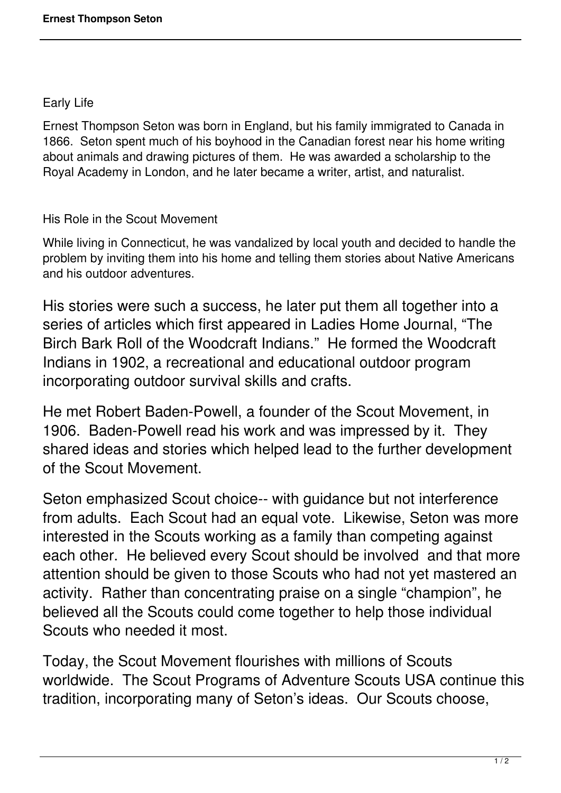## Early Life

Ernest Thompson Seton was born in England, but his family immigrated to Canada in 1866. Seton spent much of his boyhood in the Canadian forest near his home writing about animals and drawing pictures of them. He was awarded a scholarship to the Royal Academy in London, and he later became a writer, artist, and naturalist.

## His Role in the Scout Movement

While living in Connecticut, he was vandalized by local youth and decided to handle the problem by inviting them into his home and telling them stories about Native Americans and his outdoor adventures.

His stories were such a success, he later put them all together into a series of articles which first appeared in Ladies Home Journal, "The Birch Bark Roll of the Woodcraft Indians." He formed the Woodcraft Indians in 1902, a recreational and educational outdoor program incorporating outdoor survival skills and crafts.

He met Robert Baden-Powell, a founder of the Scout Movement, in 1906. Baden-Powell read his work and was impressed by it. They shared ideas and stories which helped lead to the further development of the Scout Movement.

Seton emphasized Scout choice-- with guidance but not interference from adults. Each Scout had an equal vote. Likewise, Seton was more interested in the Scouts working as a family than competing against each other. He believed every Scout should be involved and that more attention should be given to those Scouts who had not yet mastered an activity. Rather than concentrating praise on a single "champion", he believed all the Scouts could come together to help those individual Scouts who needed it most.

Today, the Scout Movement flourishes with millions of Scouts worldwide. The Scout Programs of Adventure Scouts USA continue this tradition, incorporating many of Seton's ideas. Our Scouts choose,